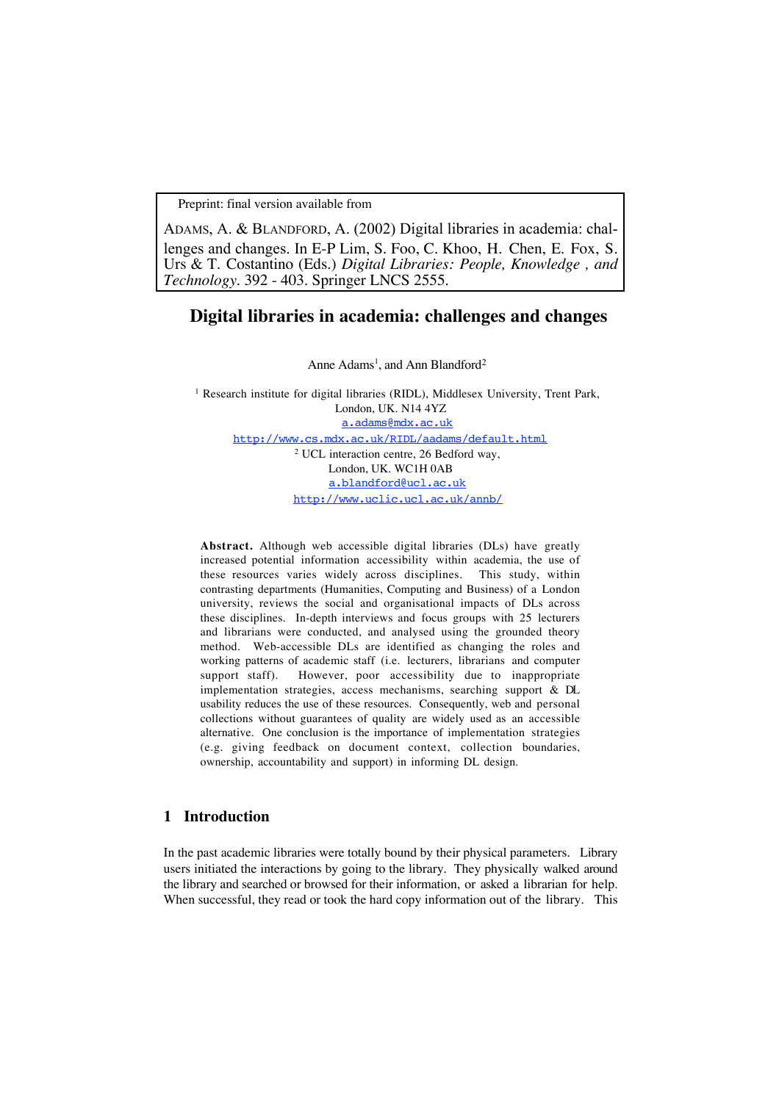Preprint: final version available from

ADAMS, A. & BLANDFORD, A. (2002) Digital libraries in academia: challenges and changes. In E-P Lim, S. Foo, C. Khoo, H. Chen, E. Fox, S. Urs & T. Costantino (Eds.) *Digital Libraries: People, Knowledge , and Technology*. 392 - 403. Springer LNCS 2555.

# **Digital libraries in academia: challenges and changes**

Anne Adams<sup>1</sup>, and Ann Blandford<sup>2</sup>

<sup>1</sup> Research institute for digital libraries (RIDL), Middlesex University, Trent Park, London, UK. N14 4YZ a.adams@mdx.ac.uk http://www.cs.mdx.ac.uk/RIDL/aadams/default.html <sup>2</sup> UCL interaction centre, 26 Bedford way, London, UK. WC1H 0AB a.blandford@ucl.ac.uk http://www.uclic.ucl.ac.uk/annb/

**Abstract.** Although web accessible digital libraries (DLs) have greatly increased potential information accessibility within academia, the use of these resources varies widely across disciplines. This study, within contrasting departments (Humanities, Computing and Business) of a London university, reviews the social and organisational impacts of DLs across these disciplines. In-depth interviews and focus groups with 25 lecturers and librarians were conducted, and analysed using the grounded theory method. Web-accessible DLs are identified as changing the roles and working patterns of academic staff (i.e. lecturers, librarians and computer support staff). However, poor accessibility due to inappropriate implementation strategies, access mechanisms, searching support & DL usability reduces the use of these resources. Consequently, web and personal collections without guarantees of quality are widely used as an accessible alternative. One conclusion is the importance of implementation strategies (e.g. giving feedback on document context, collection boundaries, ownership, accountability and support) in informing DL design.

# **1 Introduction**

In the past academic libraries were totally bound by their physical parameters. Library users initiated the interactions by going to the library. They physically walked around the library and searched or browsed for their information, or asked a librarian for help. When successful, they read or took the hard copy information out of the library. This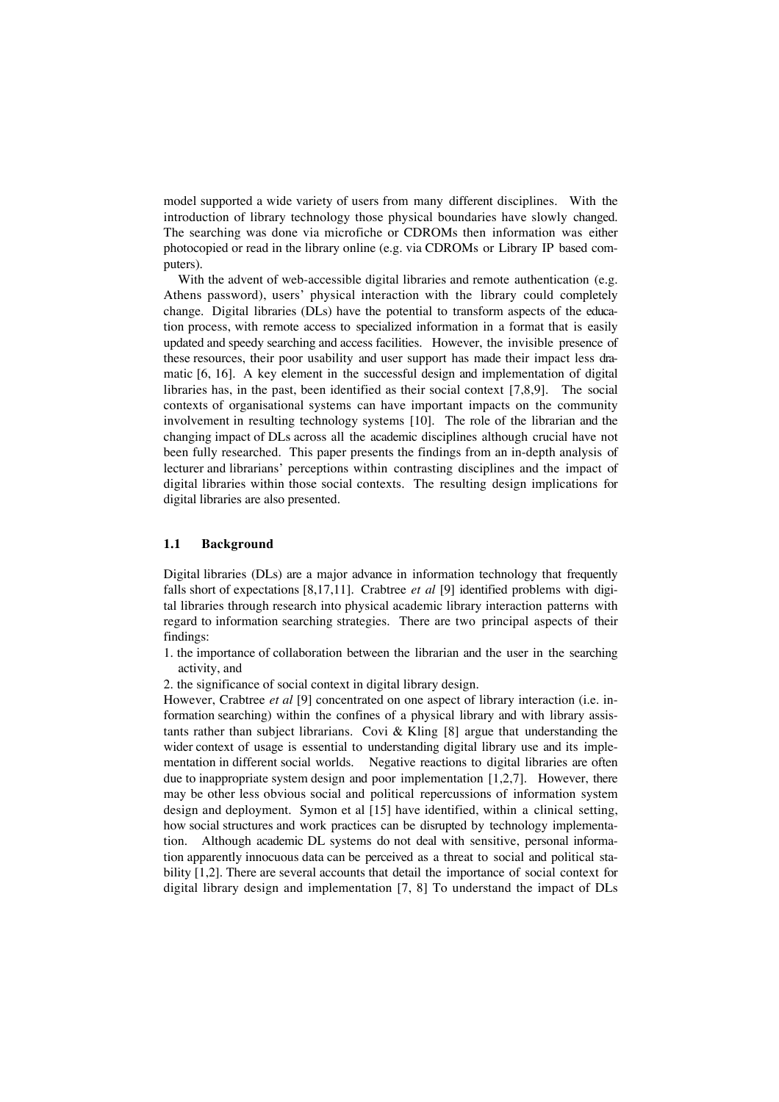model supported a wide variety of users from many different disciplines. With the introduction of library technology those physical boundaries have slowly changed. The searching was done via microfiche or CDROMs then information was either photocopied or read in the library online (e.g. via CDROMs or Library IP based computers).

With the advent of web-accessible digital libraries and remote authentication (e.g. Athens password), users' physical interaction with the library could completely change. Digital libraries (DLs) have the potential to transform aspects of the education process, with remote access to specialized information in a format that is easily updated and speedy searching and access facilities. However, the invisible presence of these resources, their poor usability and user support has made their impact less dramatic [6, 16]. A key element in the successful design and implementation of digital libraries has, in the past, been identified as their social context [7,8,9]. The social contexts of organisational systems can have important impacts on the community involvement in resulting technology systems [10]. The role of the librarian and the changing impact of DLs across all the academic disciplines although crucial have not been fully researched. This paper presents the findings from an in-depth analysis of lecturer and librarians' perceptions within contrasting disciplines and the impact of digital libraries within those social contexts. The resulting design implications for digital libraries are also presented.

#### **1.1 Background**

Digital libraries (DLs) are a major advance in information technology that frequently falls short of expectations [8,17,11]. Crabtree *et al* [9] identified problems with digital libraries through research into physical academic library interaction patterns with regard to information searching strategies. There are two principal aspects of their findings:

- 1. the importance of collaboration between the librarian and the user in the searching activity, and
- 2. the significance of social context in digital library design.

However, Crabtree *et al* [9] concentrated on one aspect of library interaction (i.e. information searching) within the confines of a physical library and with library assistants rather than subject librarians. Covi  $\&$  Kling [8] argue that understanding the wider context of usage is essential to understanding digital library use and its implementation in different social worlds. Negative reactions to digital libraries are often due to inappropriate system design and poor implementation [1,2,7]. However, there may be other less obvious social and political repercussions of information system design and deployment. Symon et al [15] have identified, within a clinical setting, how social structures and work practices can be disrupted by technology implementation. Although academic DL systems do not deal with sensitive, personal information apparently innocuous data can be perceived as a threat to social and political stability [1,2]. There are several accounts that detail the importance of social context for digital library design and implementation [7, 8] To understand the impact of DLs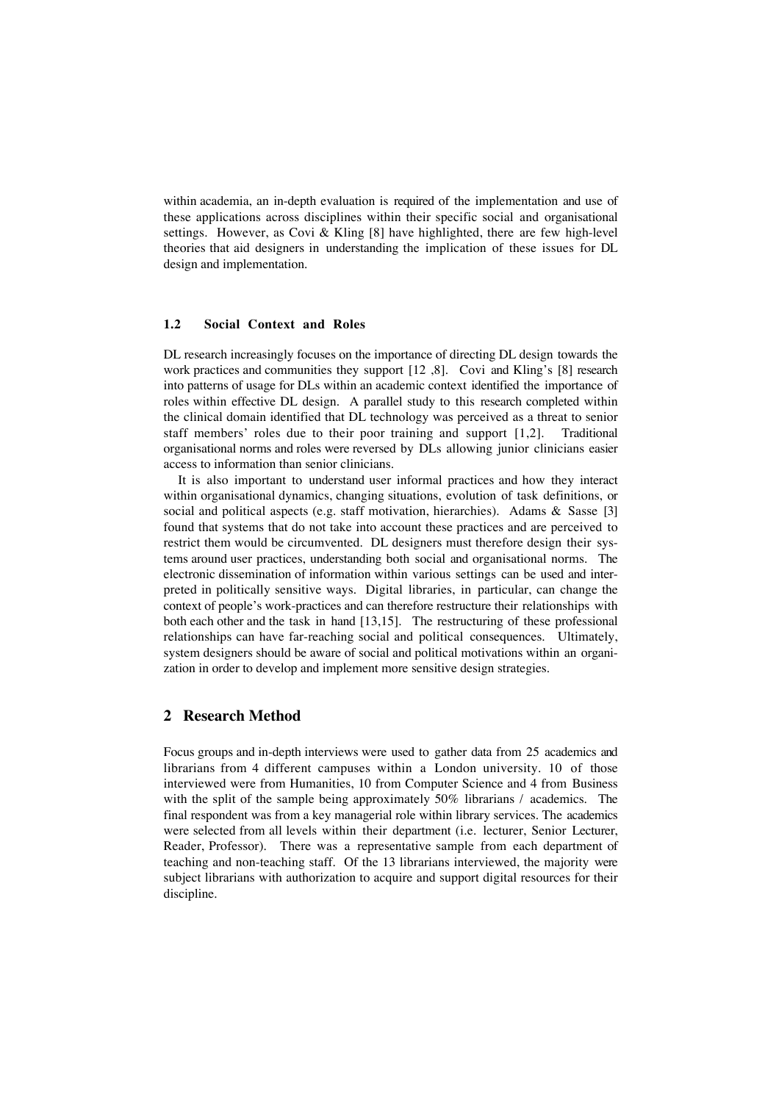within academia, an in-depth evaluation is required of the implementation and use of these applications across disciplines within their specific social and organisational settings. However, as Covi & Kling [8] have highlighted, there are few high-level theories that aid designers in understanding the implication of these issues for DL design and implementation.

# **1.2 Social Context and Roles**

DL research increasingly focuses on the importance of directing DL design towards the work practices and communities they support [12 ,8]. Covi and Kling's [8] research into patterns of usage for DLs within an academic context identified the importance of roles within effective DL design. A parallel study to this research completed within the clinical domain identified that DL technology was perceived as a threat to senior staff members' roles due to their poor training and support [1,2]. Traditional organisational norms and roles were reversed by DLs allowing junior clinicians easier access to information than senior clinicians.

It is also important to understand user informal practices and how they interact within organisational dynamics, changing situations, evolution of task definitions, or social and political aspects (e.g. staff motivation, hierarchies). Adams & Sasse [3] found that systems that do not take into account these practices and are perceived to restrict them would be circumvented. DL designers must therefore design their systems around user practices, understanding both social and organisational norms. The electronic dissemination of information within various settings can be used and interpreted in politically sensitive ways. Digital libraries, in particular, can change the context of people's work-practices and can therefore restructure their relationships with both each other and the task in hand [13,15]. The restructuring of these professional relationships can have far-reaching social and political consequences. Ultimately, system designers should be aware of social and political motivations within an organization in order to develop and implement more sensitive design strategies.

### **2 Research Method**

Focus groups and in-depth interviews were used to gather data from 25 academics and librarians from 4 different campuses within a London university. 10 of those interviewed were from Humanities, 10 from Computer Science and 4 from Business with the split of the sample being approximately 50% librarians / academics. The final respondent was from a key managerial role within library services. The academics were selected from all levels within their department (i.e. lecturer, Senior Lecturer, Reader, Professor). There was a representative sample from each department of teaching and non-teaching staff. Of the 13 librarians interviewed, the majority were subject librarians with authorization to acquire and support digital resources for their discipline.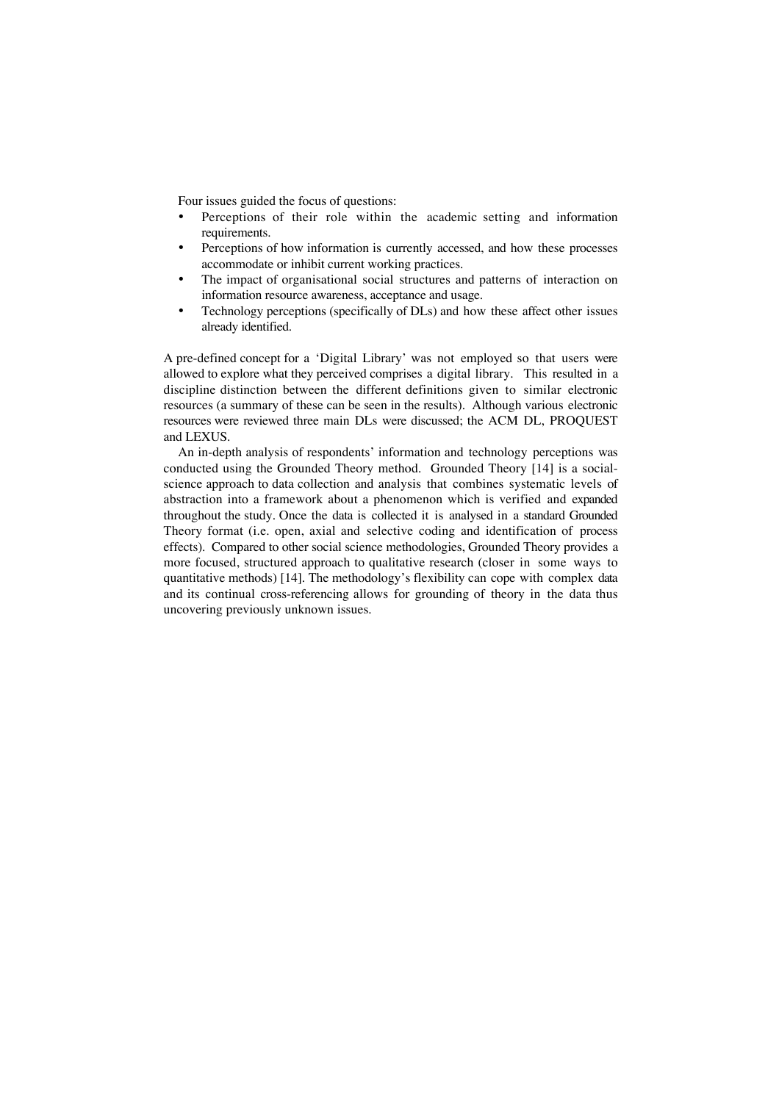Four issues guided the focus of questions:

- Perceptions of their role within the academic setting and information requirements.
- Perceptions of how information is currently accessed, and how these processes accommodate or inhibit current working practices.
- The impact of organisational social structures and patterns of interaction on information resource awareness, acceptance and usage.
- Technology perceptions (specifically of DLs) and how these affect other issues already identified.

A pre-defined concept for a 'Digital Library' was not employed so that users were allowed to explore what they perceived comprises a digital library. This resulted in a discipline distinction between the different definitions given to similar electronic resources (a summary of these can be seen in the results). Although various electronic resources were reviewed three main DLs were discussed; the ACM DL, PROQUEST and LEXUS.

An in-depth analysis of respondents' information and technology perceptions was conducted using the Grounded Theory method. Grounded Theory [14] is a socialscience approach to data collection and analysis that combines systematic levels of abstraction into a framework about a phenomenon which is verified and expanded throughout the study. Once the data is collected it is analysed in a standard Grounded Theory format (i.e. open, axial and selective coding and identification of process effects). Compared to other social science methodologies, Grounded Theory provides a more focused, structured approach to qualitative research (closer in some ways to quantitative methods) [14]. The methodology's flexibility can cope with complex data and its continual cross-referencing allows for grounding of theory in the data thus uncovering previously unknown issues.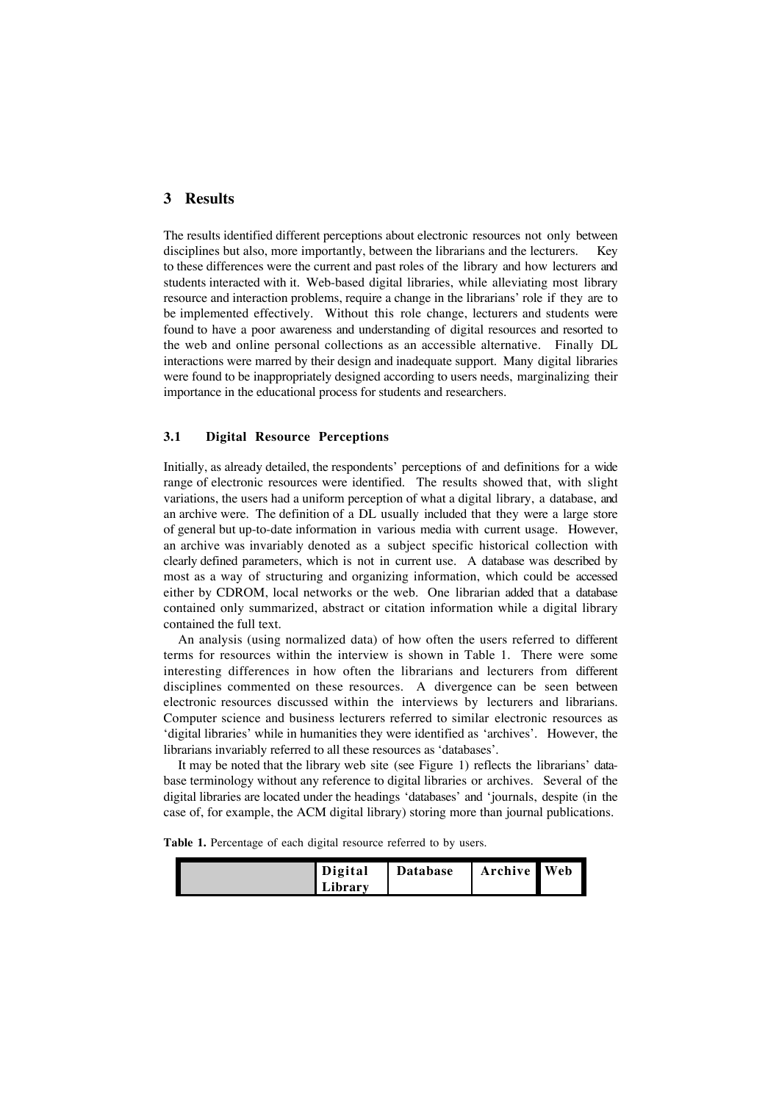# **3 Results**

The results identified different perceptions about electronic resources not only between disciplines but also, more importantly, between the librarians and the lecturers. Key to these differences were the current and past roles of the library and how lecturers and students interacted with it. Web-based digital libraries, while alleviating most library resource and interaction problems, require a change in the librarians' role if they are to be implemented effectively. Without this role change, lecturers and students were found to have a poor awareness and understanding of digital resources and resorted to the web and online personal collections as an accessible alternative. Finally DL interactions were marred by their design and inadequate support. Many digital libraries were found to be inappropriately designed according to users needs, marginalizing their importance in the educational process for students and researchers.

# **3.1 Digital Resource Perceptions**

Initially, as already detailed, the respondents' perceptions of and definitions for a wide range of electronic resources were identified. The results showed that, with slight variations, the users had a uniform perception of what a digital library, a database, and an archive were. The definition of a DL usually included that they were a large store of general but up-to-date information in various media with current usage. However, an archive was invariably denoted as a subject specific historical collection with clearly defined parameters, which is not in current use. A database was described by most as a way of structuring and organizing information, which could be accessed either by CDROM, local networks or the web. One librarian added that a database contained only summarized, abstract or citation information while a digital library contained the full text.

An analysis (using normalized data) of how often the users referred to different terms for resources within the interview is shown in Table 1. There were some interesting differences in how often the librarians and lecturers from different disciplines commented on these resources. A divergence can be seen between electronic resources discussed within the interviews by lecturers and librarians. Computer science and business lecturers referred to similar electronic resources as 'digital libraries' while in humanities they were identified as 'archives'. However, the librarians invariably referred to all these resources as 'databases'.

It may be noted that the library web site (see Figure 1) reflects the librarians' database terminology without any reference to digital libraries or archives. Several of the digital libraries are located under the headings 'databases' and 'journals, despite (in the case of, for example, the ACM digital library) storing more than journal publications.

**Table 1.** Percentage of each digital resource referred to by users.

| Digital | <b>Database</b> | Archive Web |  |
|---------|-----------------|-------------|--|
| Library |                 |             |  |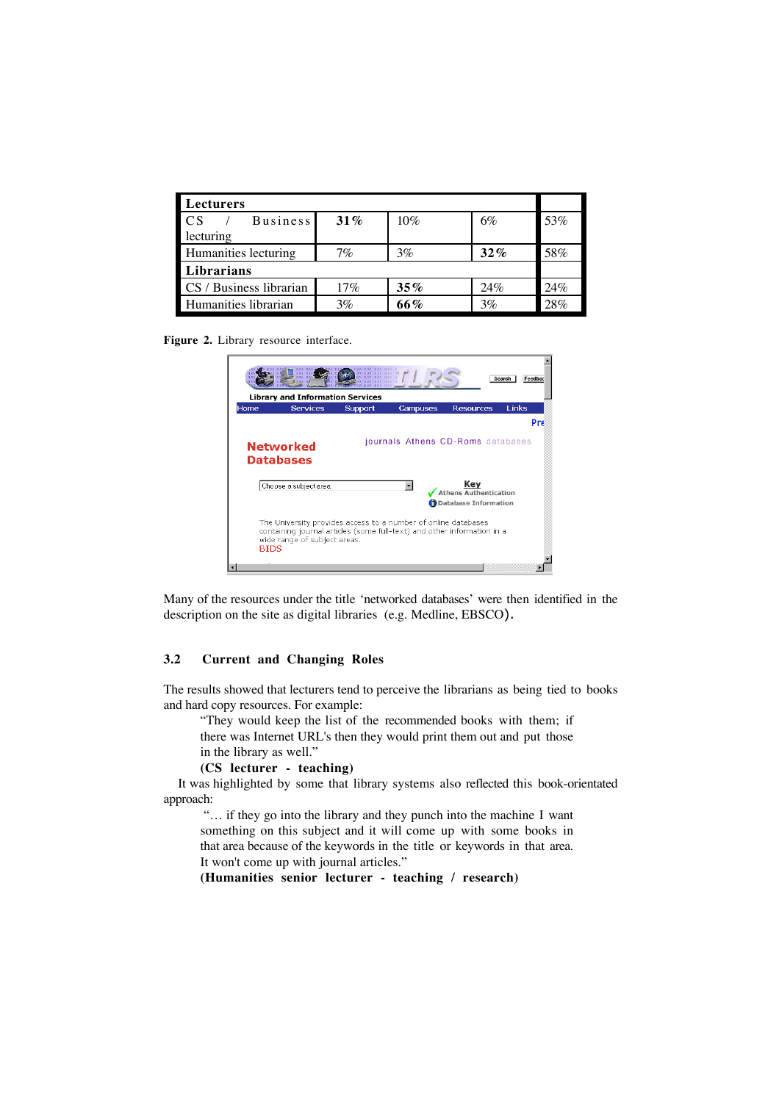| Lecturers               |        |     |        |     |
|-------------------------|--------|-----|--------|-----|
| LCS.<br><b>Business</b> | $31\%$ | 10% | 6%     | 53% |
| lecturing               |        |     |        |     |
| Humanities lecturing    | 7%     | 3%  | $32\%$ | 58% |
| Librarians              |        |     |        |     |
| CS / Business librarian | 17%    | 35% | 24%    | 24% |
| Humanities librarian    | 3%     | 66% | 3%     | 28% |

Figure 2. Library resource interface.

| <b>Services</b><br>Support<br>Networked                        | Links<br><b>Resources</b><br>Campuses<br>journals Athens CD-Roms databases |
|----------------------------------------------------------------|----------------------------------------------------------------------------|
|                                                                |                                                                            |
|                                                                |                                                                            |
|                                                                |                                                                            |
|                                                                |                                                                            |
| Databases                                                      |                                                                            |
|                                                                |                                                                            |
| Choose a subject area.                                         | Key<br>$\blacktriangledown$                                                |
|                                                                | <b>Athens Authentication</b>                                               |
|                                                                | <b>O</b> Database Information                                              |
|                                                                |                                                                            |
|                                                                |                                                                            |
| The University provides access to a number of online databases |                                                                            |
| wide range of subject areas.                                   | containing journal articles (some full-text) and other information in a    |

Many of the resources under the title 'networked databases' were then identified in the description on the site as digital libraries (e.g. Medline, EBSCO).

# **3.2 Current and Changing Roles**

The results showed that lecturers tend to perceive the librarians as being tied to books and hard copy resources. For example:

"They would keep the list of the recommended books with them; if there was Internet URL's then they would print them out and put those in the library as well."

#### **(CS lecturer - teaching)**

It was highlighted by some that library systems also reflected this book-orientated approach:

"… if they go into the library and they punch into the machine I want something on this subject and it will come up with some books in that area because of the keywords in the title or keywords in that area. It won't come up with journal articles."

**(Humanities senior lecturer - teaching / research)**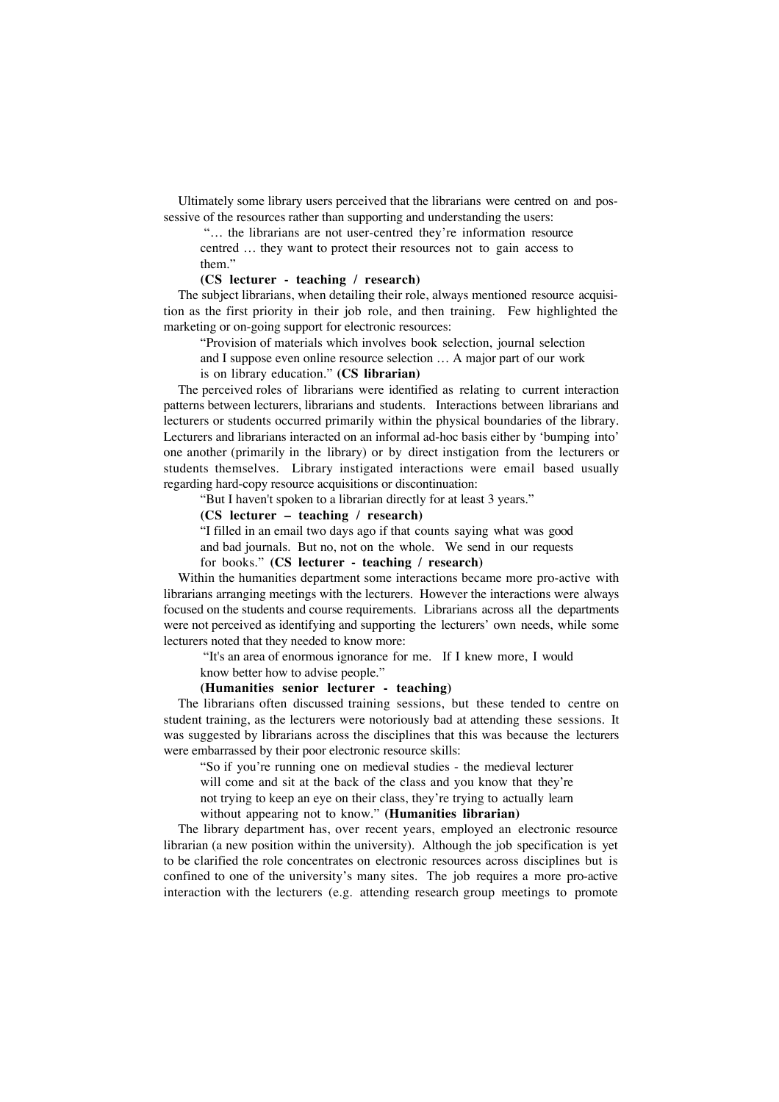Ultimately some library users perceived that the librarians were centred on and possessive of the resources rather than supporting and understanding the users:

"… the librarians are not user-centred they're information resource centred … they want to protect their resources not to gain access to

them."

#### **(CS lecturer - teaching / research)**

The subject librarians, when detailing their role, always mentioned resource acquisition as the first priority in their job role, and then training. Few highlighted the marketing or on-going support for electronic resources:

"Provision of materials which involves book selection, journal selection and I suppose even online resource selection … A major part of our work

is on library education." **(CS librarian)**

The perceived roles of librarians were identified as relating to current interaction patterns between lecturers, librarians and students. Interactions between librarians and lecturers or students occurred primarily within the physical boundaries of the library. Lecturers and librarians interacted on an informal ad-hoc basis either by 'bumping into' one another (primarily in the library) or by direct instigation from the lecturers or students themselves. Library instigated interactions were email based usually regarding hard-copy resource acquisitions or discontinuation:

"But I haven't spoken to a librarian directly for at least 3 years."

**(CS lecturer – teaching / research)**

"I filled in an email two days ago if that counts saying what was good

and bad journals. But no, not on the whole. We send in our requests

for books." **(CS lecturer - teaching / research)**

Within the humanities department some interactions became more pro-active with librarians arranging meetings with the lecturers. However the interactions were always focused on the students and course requirements. Librarians across all the departments were not perceived as identifying and supporting the lecturers' own needs, while some lecturers noted that they needed to know more:

"It's an area of enormous ignorance for me. If I knew more, I would

know better how to advise people."

#### **(Humanities senior lecturer - teaching)**

The librarians often discussed training sessions, but these tended to centre on student training, as the lecturers were notoriously bad at attending these sessions. It was suggested by librarians across the disciplines that this was because the lecturers were embarrassed by their poor electronic resource skills:

"So if you're running one on medieval studies - the medieval lecturer will come and sit at the back of the class and you know that they're not trying to keep an eye on their class, they're trying to actually learn

without appearing not to know." **(Humanities librarian)**

The library department has, over recent years, employed an electronic resource librarian (a new position within the university). Although the job specification is yet to be clarified the role concentrates on electronic resources across disciplines but is confined to one of the university's many sites. The job requires a more pro-active interaction with the lecturers (e.g. attending research group meetings to promote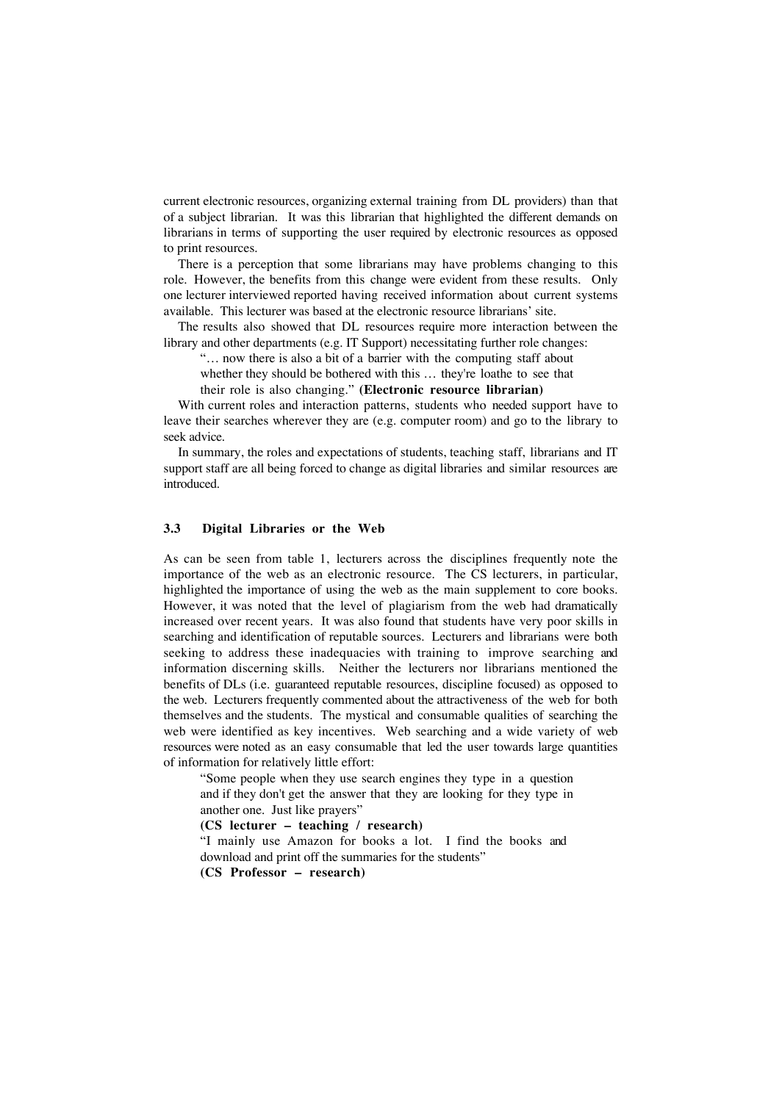current electronic resources, organizing external training from DL providers) than that of a subject librarian. It was this librarian that highlighted the different demands on librarians in terms of supporting the user required by electronic resources as opposed to print resources.

There is a perception that some librarians may have problems changing to this role. However, the benefits from this change were evident from these results. Only one lecturer interviewed reported having received information about current systems available. This lecturer was based at the electronic resource librarians' site.

The results also showed that DL resources require more interaction between the library and other departments (e.g. IT Support) necessitating further role changes:

"… now there is also a bit of a barrier with the computing staff about

whether they should be bothered with this … they're loathe to see that

their role is also changing." **(Electronic resource librarian)**

With current roles and interaction patterns, students who needed support have to leave their searches wherever they are (e.g. computer room) and go to the library to seek advice.

In summary, the roles and expectations of students, teaching staff, librarians and IT support staff are all being forced to change as digital libraries and similar resources are introduced.

### **3.3 Digital Libraries or the Web**

As can be seen from table 1, lecturers across the disciplines frequently note the importance of the web as an electronic resource. The CS lecturers, in particular, highlighted the importance of using the web as the main supplement to core books. However, it was noted that the level of plagiarism from the web had dramatically increased over recent years. It was also found that students have very poor skills in searching and identification of reputable sources. Lecturers and librarians were both seeking to address these inadequacies with training to improve searching and information discerning skills. Neither the lecturers nor librarians mentioned the benefits of DLs (i.e. guaranteed reputable resources, discipline focused) as opposed to the web. Lecturers frequently commented about the attractiveness of the web for both themselves and the students. The mystical and consumable qualities of searching the web were identified as key incentives. Web searching and a wide variety of web resources were noted as an easy consumable that led the user towards large quantities of information for relatively little effort:

"Some people when they use search engines they type in a question and if they don't get the answer that they are looking for they type in another one. Just like prayers"

**(CS lecturer – teaching / research)**

"I mainly use Amazon for books a lot. I find the books and download and print off the summaries for the students"

**(CS Professor – research)**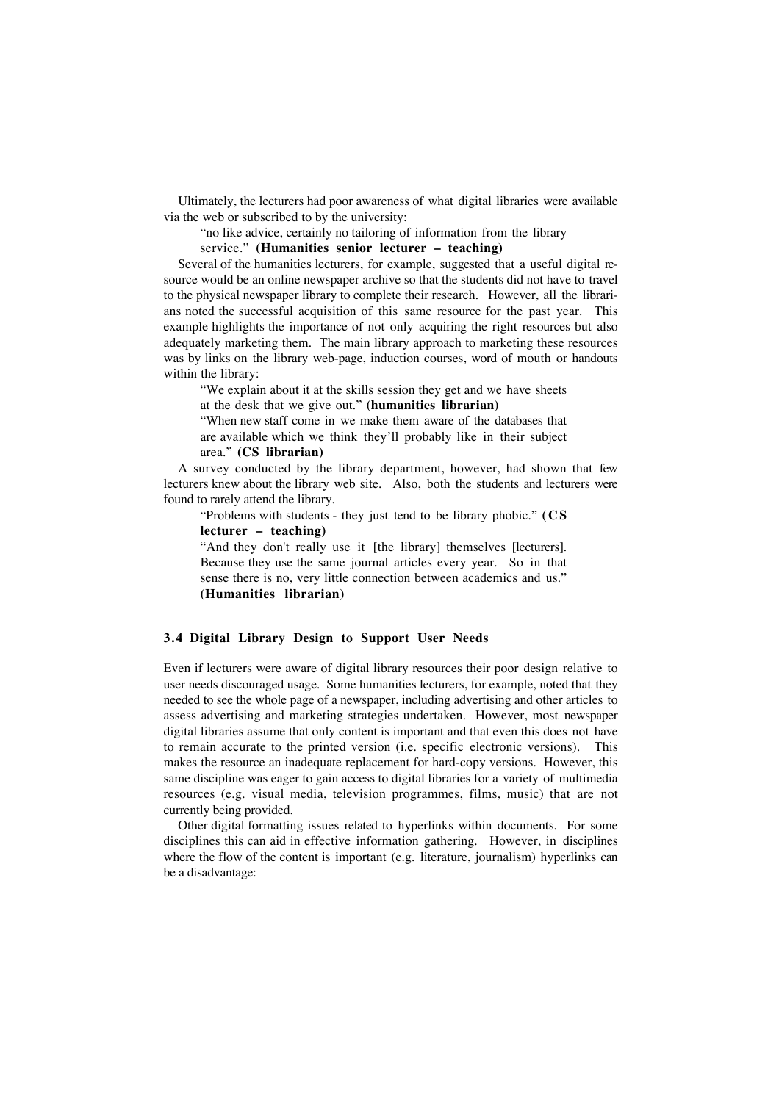Ultimately, the lecturers had poor awareness of what digital libraries were available via the web or subscribed to by the university:

"no like advice, certainly no tailoring of information from the library

service." **(Humanities senior lecturer – teaching)**

Several of the humanities lecturers, for example, suggested that a useful digital resource would be an online newspaper archive so that the students did not have to travel to the physical newspaper library to complete their research. However, all the librarians noted the successful acquisition of this same resource for the past year. This example highlights the importance of not only acquiring the right resources but also adequately marketing them. The main library approach to marketing these resources was by links on the library web-page, induction courses, word of mouth or handouts within the library:

"We explain about it at the skills session they get and we have sheets at the desk that we give out." **(humanities librarian)**

"When new staff come in we make them aware of the databases that are available which we think they'll probably like in their subject area." **(CS librarian)**

A survey conducted by the library department, however, had shown that few lecturers knew about the library web site. Also, both the students and lecturers were found to rarely attend the library.

"Problems with students - they just tend to be library phobic." **(CS**

**lecturer – teaching)**

"And they don't really use it [the library] themselves [lecturers]. Because they use the same journal articles every year. So in that sense there is no, very little connection between academics and us." **(Humanities librarian)**

# **3.4 Digital Library Design to Support User Needs**

Even if lecturers were aware of digital library resources their poor design relative to user needs discouraged usage. Some humanities lecturers, for example, noted that they needed to see the whole page of a newspaper, including advertising and other articles to assess advertising and marketing strategies undertaken. However, most newspaper digital libraries assume that only content is important and that even this does not have to remain accurate to the printed version (i.e. specific electronic versions). This makes the resource an inadequate replacement for hard-copy versions. However, this same discipline was eager to gain access to digital libraries for a variety of multimedia resources (e.g. visual media, television programmes, films, music) that are not currently being provided.

Other digital formatting issues related to hyperlinks within documents. For some disciplines this can aid in effective information gathering. However, in disciplines where the flow of the content is important (e.g. literature, journalism) hyperlinks can be a disadvantage: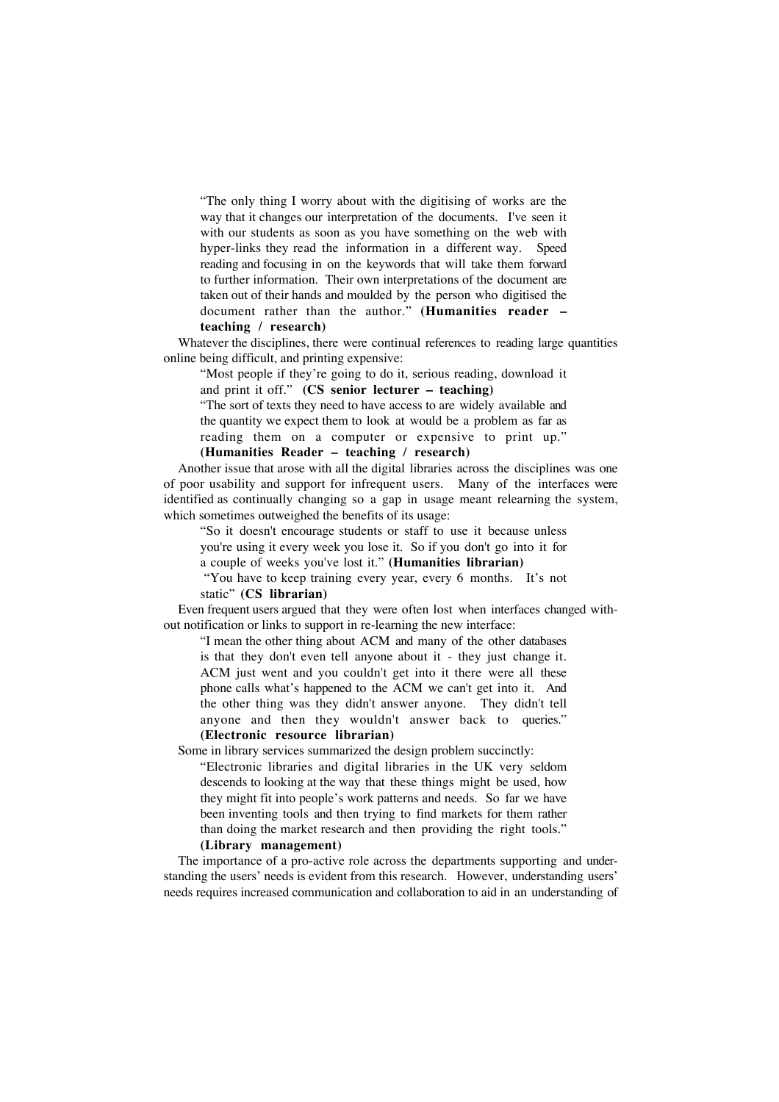"The only thing I worry about with the digitising of works are the way that it changes our interpretation of the documents. I've seen it with our students as soon as you have something on the web with hyper-links they read the information in a different way. Speed reading and focusing in on the keywords that will take them forward to further information. Their own interpretations of the document are taken out of their hands and moulded by the person who digitised the document rather than the author." **(Humanities reader – teaching / research)**

Whatever the disciplines, there were continual references to reading large quantities online being difficult, and printing expensive:

"Most people if they're going to do it, serious reading, download it

and print it off." **(CS senior lecturer – teaching)**

"The sort of texts they need to have access to are widely available and the quantity we expect them to look at would be a problem as far as reading them on a computer or expensive to print up." **(Humanities Reader – teaching / research)**

Another issue that arose with all the digital libraries across the disciplines was one of poor usability and support for infrequent users. Many of the interfaces were identified as continually changing so a gap in usage meant relearning the system, which sometimes outweighed the benefits of its usage:

"So it doesn't encourage students or staff to use it because unless

you're using it every week you lose it. So if you don't go into it for

a couple of weeks you've lost it." **(Humanities librarian)**

"You have to keep training every year, every 6 months. It's not static" **(CS librarian)**

Even frequent users argued that they were often lost when interfaces changed without notification or links to support in re-learning the new interface:

"I mean the other thing about ACM and many of the other databases

is that they don't even tell anyone about it - they just change it. ACM just went and you couldn't get into it there were all these phone calls what's happened to the ACM we can't get into it. And the other thing was they didn't answer anyone. They didn't tell anyone and then they wouldn't answer back to queries." **(Electronic resource librarian)**

Some in library services summarized the design problem succinctly:

"Electronic libraries and digital libraries in the UK very seldom descends to looking at the way that these things might be used, how they might fit into people's work patterns and needs. So far we have been inventing tools and then trying to find markets for them rather than doing the market research and then providing the right tools." **(Library management)**

The importance of a pro-active role across the departments supporting and understanding the users' needs is evident from this research. However, understanding users' needs requires increased communication and collaboration to aid in an understanding of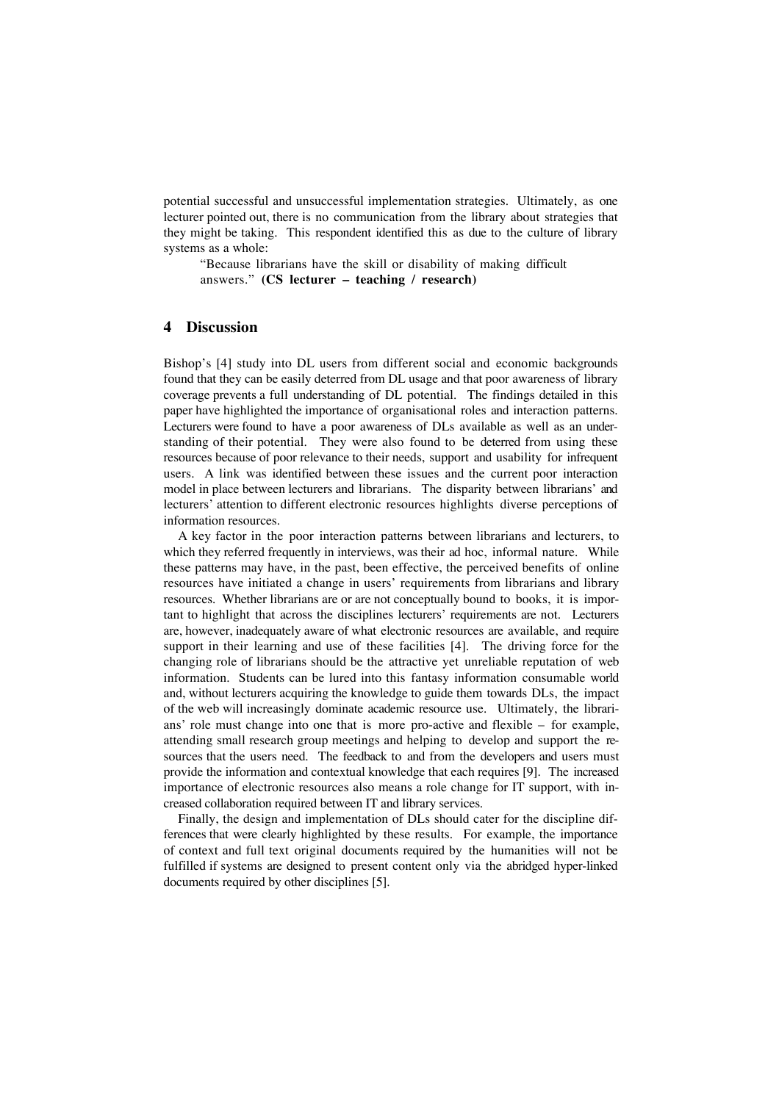potential successful and unsuccessful implementation strategies. Ultimately, as one lecturer pointed out, there is no communication from the library about strategies that they might be taking. This respondent identified this as due to the culture of library systems as a whole:

"Because librarians have the skill or disability of making difficult answers." **(CS lecturer – teaching / research)**

# **4 Discussion**

Bishop's [4] study into DL users from different social and economic backgrounds found that they can be easily deterred from DL usage and that poor awareness of library coverage prevents a full understanding of DL potential. The findings detailed in this paper have highlighted the importance of organisational roles and interaction patterns. Lecturers were found to have a poor awareness of DLs available as well as an understanding of their potential. They were also found to be deterred from using these resources because of poor relevance to their needs, support and usability for infrequent users. A link was identified between these issues and the current poor interaction model in place between lecturers and librarians. The disparity between librarians' and lecturers' attention to different electronic resources highlights diverse perceptions of information resources.

A key factor in the poor interaction patterns between librarians and lecturers, to which they referred frequently in interviews, was their ad hoc, informal nature. While these patterns may have, in the past, been effective, the perceived benefits of online resources have initiated a change in users' requirements from librarians and library resources. Whether librarians are or are not conceptually bound to books, it is important to highlight that across the disciplines lecturers' requirements are not. Lecturers are, however, inadequately aware of what electronic resources are available, and require support in their learning and use of these facilities [4]. The driving force for the changing role of librarians should be the attractive yet unreliable reputation of web information. Students can be lured into this fantasy information consumable world and, without lecturers acquiring the knowledge to guide them towards DLs, the impact of the web will increasingly dominate academic resource use. Ultimately, the librarians' role must change into one that is more pro-active and flexible – for example, attending small research group meetings and helping to develop and support the resources that the users need. The feedback to and from the developers and users must provide the information and contextual knowledge that each requires [9]. The increased importance of electronic resources also means a role change for IT support, with increased collaboration required between IT and library services.

Finally, the design and implementation of DLs should cater for the discipline differences that were clearly highlighted by these results. For example, the importance of context and full text original documents required by the humanities will not be fulfilled if systems are designed to present content only via the abridged hyper-linked documents required by other disciplines [5].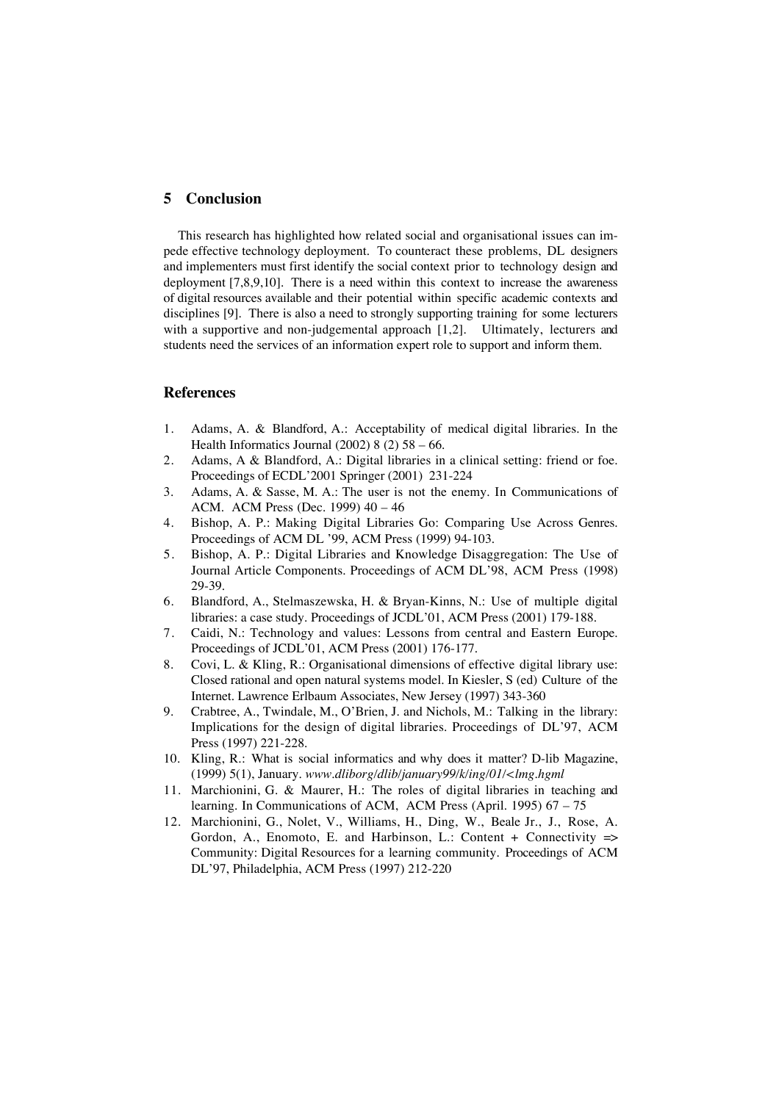# **5 Conclusion**

This research has highlighted how related social and organisational issues can impede effective technology deployment. To counteract these problems, DL designers and implementers must first identify the social context prior to technology design and deployment [7,8,9,10]. There is a need within this context to increase the awareness of digital resources available and their potential within specific academic contexts and disciplines [9]. There is also a need to strongly supporting training for some lecturers with a supportive and non-judgemental approach [1,2]. Ultimately, lecturers and students need the services of an information expert role to support and inform them.

# **References**

- 1. Adams, A. & Blandford, A.: Acceptability of medical digital libraries. In the Health Informatics Journal  $(2002) 8 (2) 58 - 66$ .
- 2. Adams, A & Blandford, A.: Digital libraries in a clinical setting: friend or foe. Proceedings of ECDL'2001 Springer (2001) 231-224
- 3. Adams, A. & Sasse, M. A.: The user is not the enemy. In Communications of ACM. ACM Press (Dec. 1999) 40 – 46
- 4. Bishop, A. P.: Making Digital Libraries Go: Comparing Use Across Genres. Proceedings of ACM DL '99, ACM Press (1999) 94-103.
- 5. Bishop, A. P.: Digital Libraries and Knowledge Disaggregation: The Use of Journal Article Components. Proceedings of ACM DL'98, ACM Press (1998) 29-39.
- 6. Blandford, A., Stelmaszewska, H. & Bryan-Kinns, N.: Use of multiple digital libraries: a case study. Proceedings of JCDL'01, ACM Press (2001) 179-188.
- 7. Caidi, N.: Technology and values: Lessons from central and Eastern Europe. Proceedings of JCDL'01, ACM Press (2001) 176-177.
- 8. Covi, L. & Kling, R.: Organisational dimensions of effective digital library use: Closed rational and open natural systems model. In Kiesler, S (ed) Culture of the Internet. Lawrence Erlbaum Associates, New Jersey (1997) 343-360
- 9. Crabtree, A., Twindale, M., O'Brien, J. and Nichols, M.: Talking in the library: Implications for the design of digital libraries. Proceedings of DL'97, ACM Press (1997) 221-228.
- 10. Kling, R.: What is social informatics and why does it matter? D-lib Magazine, (1999) 5(1), January. *www.dliborg/dlib/january99/k/ing/01/<lmg.hgml*
- 11. Marchionini, G. & Maurer, H.: The roles of digital libraries in teaching and learning. In Communications of ACM, ACM Press (April. 1995) 67 – 75
- 12. Marchionini, G., Nolet, V., Williams, H., Ding, W., Beale Jr., J., Rose, A. Gordon, A., Enomoto, E. and Harbinson, L.: Content + Connectivity  $\Rightarrow$ Community: Digital Resources for a learning community. Proceedings of ACM DL'97, Philadelphia, ACM Press (1997) 212-220